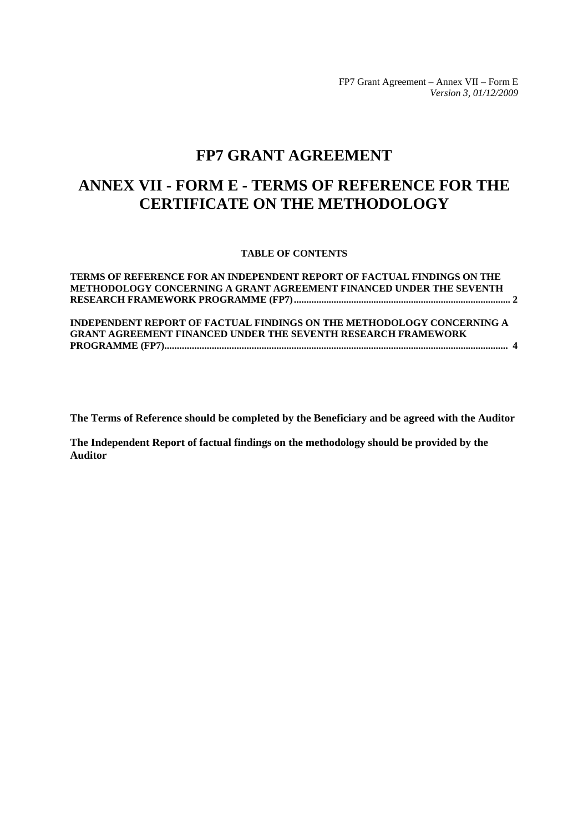FP7 Grant Agreement – Annex VII – Form E *Version 3, 01/12/2009* 

# **FP7 GRANT AGREEMENT**

# **ANNEX VII - FORM E - TERMS OF REFERENCE FOR THE CERTIFICATE ON THE METHODOLOGY**

#### **TABLE OF CONTENTS**

| TERMS OF REFERENCE FOR AN INDEPENDENT REPORT OF FACTUAL FINDINGS ON THE |  |
|-------------------------------------------------------------------------|--|
| METHODOLOGY CONCERNING A GRANT AGREEMENT FINANCED UNDER THE SEVENTH     |  |
|                                                                         |  |
|                                                                         |  |
| INDEPENDENT REPORT OF FACTUAL FINDINGS ON THE METHODOLOGY CONCERNING A  |  |
| <b>GRANT AGREEMENT FINANCED UNDER THE SEVENTH RESEARCH FRAMEWORK</b>    |  |
|                                                                         |  |

**The Terms of Reference should be completed by the Beneficiary and be agreed with the Auditor** 

**The Independent Report of factual findings on the methodology should be provided by the Auditor**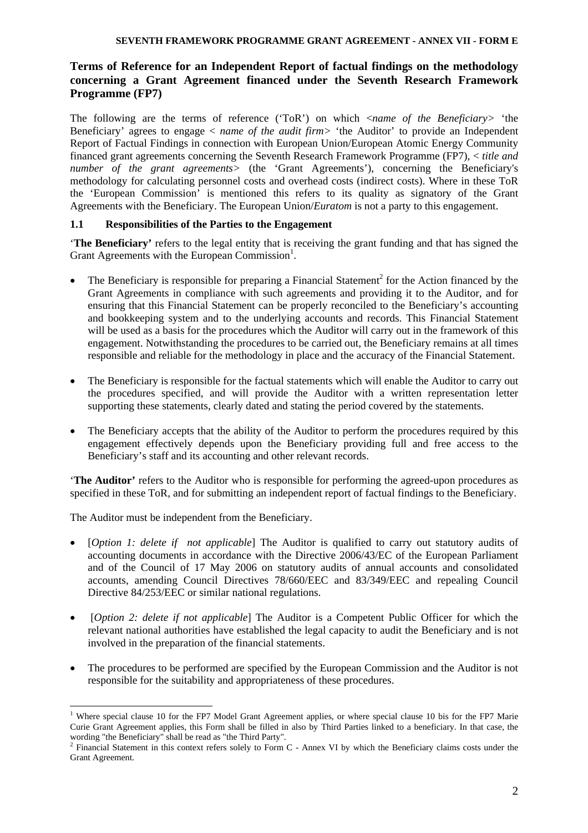# <span id="page-1-0"></span>**Terms of Reference for an Independent Report of factual findings on the methodology concerning a Grant Agreement financed under the Seventh Research Framework Programme (FP7)**

The following are the terms of reference ('ToR') on which <*name of the Beneficiary>* 'the Beneficiary' agrees to engage < *name of the audit firm>* 'the Auditor' to provide an Independent Report of Factual Findings in connection with European Union/European Atomic Energy Community financed grant agreements concerning the Seventh Research Framework Programme (FP7), < *title and number of the grant agreements>* (the 'Grant Agreements'), concerning the Beneficiary's methodology for calculating personnel costs and overhead costs (indirect costs). Where in these ToR the 'European Commission' is mentioned this refers to its quality as signatory of the Grant Agreements with the Beneficiary. The European Union/*Euratom* is not a party to this engagement.

# **1.1 Responsibilities of the Parties to the Engagement**

'**The Beneficiary'** refers to the legal entity that is receiving the grant funding and that has signed the Grant Agreements with the European Commission<sup>1</sup>.

- The Beneficiary is responsible for preparing a Financial Statement<sup>2</sup> for the Action financed by the Grant Agreements in compliance with such agreements and providing it to the Auditor, and for ensuring that this Financial Statement can be properly reconciled to the Beneficiary's accounting and bookkeeping system and to the underlying accounts and records. This Financial Statement will be used as a basis for the procedures which the Auditor will carry out in the framework of this engagement. Notwithstanding the procedures to be carried out, the Beneficiary remains at all times responsible and reliable for the methodology in place and the accuracy of the Financial Statement.
- The Beneficiary is responsible for the factual statements which will enable the Auditor to carry out the procedures specified, and will provide the Auditor with a written representation letter supporting these statements, clearly dated and stating the period covered by the statements.
- The Beneficiary accepts that the ability of the Auditor to perform the procedures required by this engagement effectively depends upon the Beneficiary providing full and free access to the Beneficiary's staff and its accounting and other relevant records.

'**The Auditor'** refers to the Auditor who is responsible for performing the agreed-upon procedures as specified in these ToR, and for submitting an independent report of factual findings to the Beneficiary.

The Auditor must be independent from the Beneficiary.

- [*Option 1: delete if not applicable*] The Auditor is qualified to carry out statutory audits of accounting documents in accordance with the Directive 2006/43/EC of the European Parliament and of the Council of 17 May 2006 on statutory audits of annual accounts and consolidated accounts, amending Council Directives 78/660/EEC and 83/349/EEC and repealing Council Directive 84/253/EEC or similar national regulations.
- [*Option 2: delete if not applicable*] The Auditor is a Competent Public Officer for which the relevant national authorities have established the legal capacity to audit the Beneficiary and is not involved in the preparation of the financial statements.
- The procedures to be performed are specified by the European Commission and the Auditor is not responsible for the suitability and appropriateness of these procedures.

 $\overline{a}$ <sup>1</sup> Where special clause 10 for the FP7 Model Grant Agreement applies, or where special clause 10 bis for the FP7 Marie Curie Grant Agreement applies, this Form shall be filled in also by Third Parties linked to a beneficiary. In that case, the wording "the Beneficiary" shall be read as "the Third Party".

Financial Statement in this context refers solely to Form C - Annex VI by which the Beneficiary claims costs under the Grant Agreement.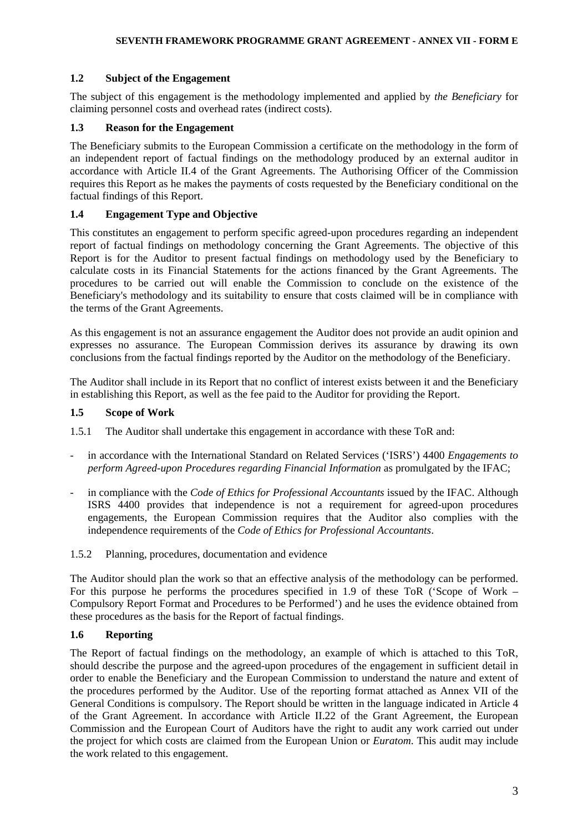# **1.2 Subject of the Engagement**

The subject of this engagement is the methodology implemented and applied by *the Beneficiary* for claiming personnel costs and overhead rates (indirect costs).

# **1.3 Reason for the Engagement**

The Beneficiary submits to the European Commission a certificate on the methodology in the form of an independent report of factual findings on the methodology produced by an external auditor in accordance with Article II.4 of the Grant Agreements. The Authorising Officer of the Commission requires this Report as he makes the payments of costs requested by the Beneficiary conditional on the factual findings of this Report.

# **1.4 Engagement Type and Objective**

This constitutes an engagement to perform specific agreed-upon procedures regarding an independent report of factual findings on methodology concerning the Grant Agreements. The objective of this Report is for the Auditor to present factual findings on methodology used by the Beneficiary to calculate costs in its Financial Statements for the actions financed by the Grant Agreements. The procedures to be carried out will enable the Commission to conclude on the existence of the Beneficiary's methodology and its suitability to ensure that costs claimed will be in compliance with the terms of the Grant Agreements.

As this engagement is not an assurance engagement the Auditor does not provide an audit opinion and expresses no assurance. The European Commission derives its assurance by drawing its own conclusions from the factual findings reported by the Auditor on the methodology of the Beneficiary.

The Auditor shall include in its Report that no conflict of interest exists between it and the Beneficiary in establishing this Report, as well as the fee paid to the Auditor for providing the Report.

# **1.5 Scope of Work**

1.5.1 The Auditor shall undertake this engagement in accordance with these ToR and:

- in accordance with the International Standard on Related Services ('ISRS') 4400 *Engagements to perform Agreed-upon Procedures regarding Financial Information* as promulgated by the IFAC;
- in compliance with the *Code of Ethics for Professional Accountants* issued by the IFAC. Although ISRS 4400 provides that independence is not a requirement for agreed-upon procedures engagements, the European Commission requires that the Auditor also complies with the independence requirements of the *Code of Ethics for Professional Accountants*.
- 1.5.2 Planning, procedures, documentation and evidence

The Auditor should plan the work so that an effective analysis of the methodology can be performed. For this purpose he performs the procedures specified in 1.9 of these ToR ('Scope of Work – Compulsory Report Format and Procedures to be Performed') and he uses the evidence obtained from these procedures as the basis for the Report of factual findings.

# **1.6 Reporting**

The Report of factual findings on the methodology, an example of which is attached to this ToR, should describe the purpose and the agreed-upon procedures of the engagement in sufficient detail in order to enable the Beneficiary and the European Commission to understand the nature and extent of the procedures performed by the Auditor. Use of the reporting format attached as Annex VII of the General Conditions is compulsory. The Report should be written in the language indicated in Article 4 of the Grant Agreement. In accordance with Article II.22 of the Grant Agreement, the European Commission and the European Court of Auditors have the right to audit any work carried out under the project for which costs are claimed from the European Union or *Euratom*. This audit may include the work related to this engagement.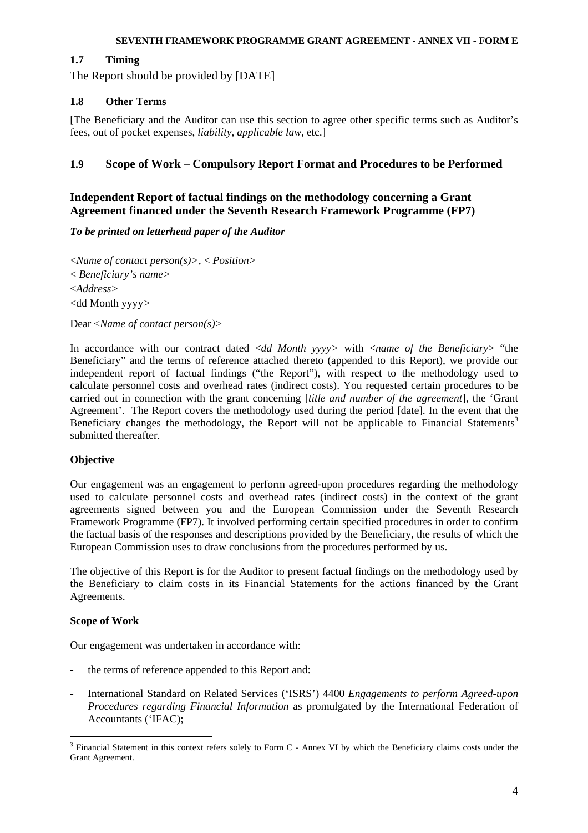# **1.7 Timing**

The Report should be provided by [DATE]

# **1.8 Other Terms**

[The Beneficiary and the Auditor can use this section to agree other specific terms such as Auditor's fees, out of pocket expenses, *liability, applicable law,* etc.]

# **1.9 Scope of Work – Compulsory Report Format and Procedures to be Performed**

# <span id="page-3-0"></span>**Independent Report of factual findings on the methodology concerning a Grant Agreement financed under the Seventh Research Framework Programme (FP7)**

## *To be printed on letterhead paper of the Auditor*

<*Name of contact person(s)>*, < *Position>* < *Beneficiary's name>* <*Address>* <dd Month yyyy*>*

Dear <*Name of contact person(s)>*

In accordance with our contract dated <*dd Month yyyy>* with <*name of the Beneficiary*> "the Beneficiary" and the terms of reference attached thereto (appended to this Report), we provide our independent report of factual findings ("the Report"), with respect to the methodology used to calculate personnel costs and overhead rates (indirect costs). You requested certain procedures to be carried out in connection with the grant concerning [*title and number of the agreement*], the 'Grant Agreement'. The Report covers the methodology used during the period [date]. In the event that the Beneficiary changes the methodology, the Report will not be applicable to Financial Statements<sup>3</sup> submitted thereafter.

## **Objective**

Our engagement was an engagement to perform agreed-upon procedures regarding the methodology used to calculate personnel costs and overhead rates (indirect costs) in the context of the grant agreements signed between you and the European Commission under the Seventh Research Framework Programme (FP7). It involved performing certain specified procedures in order to confirm the factual basis of the responses and descriptions provided by the Beneficiary, the results of which the European Commission uses to draw conclusions from the procedures performed by us.

The objective of this Report is for the Auditor to present factual findings on the methodology used by the Beneficiary to claim costs in its Financial Statements for the actions financed by the Grant Agreements.

## **Scope of Work**

 $\overline{a}$ 

Our engagement was undertaken in accordance with:

- the terms of reference appended to this Report and:
- International Standard on Related Services ('ISRS') 4400 *Engagements to perform Agreed-upon Procedures regarding Financial Information* as promulgated by the International Federation of Accountants ('IFAC);

<sup>&</sup>lt;sup>3</sup> Financial Statement in this context refers solely to Form C - Annex VI by which the Beneficiary claims costs under the Grant Agreement.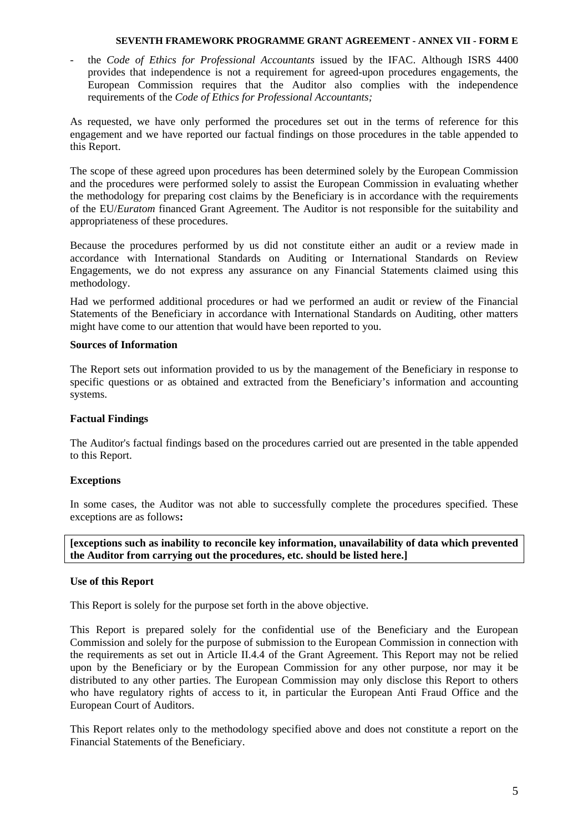- the *Code of Ethics for Professional Accountants* issued by the IFAC. Although ISRS 4400 provides that independence is not a requirement for agreed-upon procedures engagements, the European Commission requires that the Auditor also complies with the independence requirements of the *Code of Ethics for Professional Accountants;* 

As requested, we have only performed the procedures set out in the terms of reference for this engagement and we have reported our factual findings on those procedures in the table appended to this Report.

The scope of these agreed upon procedures has been determined solely by the European Commission and the procedures were performed solely to assist the European Commission in evaluating whether the methodology for preparing cost claims by the Beneficiary is in accordance with the requirements of the EU/*Euratom* financed Grant Agreement. The Auditor is not responsible for the suitability and appropriateness of these procedures.

Because the procedures performed by us did not constitute either an audit or a review made in accordance with International Standards on Auditing or International Standards on Review Engagements, we do not express any assurance on any Financial Statements claimed using this methodology.

Had we performed additional procedures or had we performed an audit or review of the Financial Statements of the Beneficiary in accordance with International Standards on Auditing, other matters might have come to our attention that would have been reported to you.

## **Sources of Information**

The Report sets out information provided to us by the management of the Beneficiary in response to specific questions or as obtained and extracted from the Beneficiary's information and accounting systems.

## **Factual Findings**

The Auditor's factual findings based on the procedures carried out are presented in the table appended to this Report.

## **Exceptions**

In some cases, the Auditor was not able to successfully complete the procedures specified. These exceptions are as follows**:** 

**[exceptions such as inability to reconcile key information, unavailability of data which prevented the Auditor from carrying out the procedures, etc. should be listed here.]** 

## **Use of this Report**

This Report is solely for the purpose set forth in the above objective.

This Report is prepared solely for the confidential use of the Beneficiary and the European Commission and solely for the purpose of submission to the European Commission in connection with the requirements as set out in Article II.4.4 of the Grant Agreement. This Report may not be relied upon by the Beneficiary or by the European Commission for any other purpose, nor may it be distributed to any other parties. The European Commission may only disclose this Report to others who have regulatory rights of access to it, in particular the European Anti Fraud Office and the European Court of Auditors.

This Report relates only to the methodology specified above and does not constitute a report on the Financial Statements of the Beneficiary.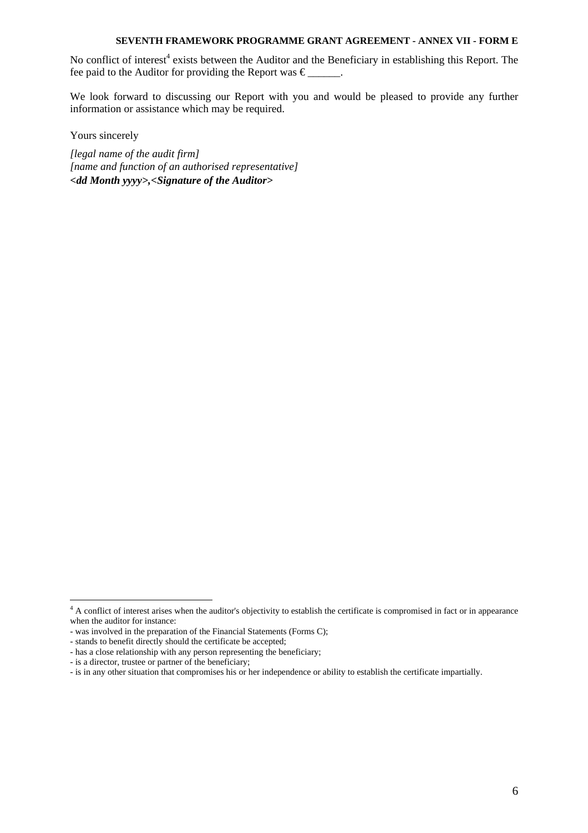No conflict of interest<sup>4</sup> exists between the Auditor and the Beneficiary in establishing this Report. The fee paid to the Auditor for providing the Report was  $\epsilon$  .

We look forward to discussing our Report with you and would be pleased to provide any further information or assistance which may be required.

Yours sincerely

*[legal name of the audit firm] [name and function of an authorised representative] <dd Month yyyy>,<Signature of the Auditor>* 

<sup>&</sup>lt;sup>4</sup> A conflict of interest arises when the auditor's objectivity to establish the certificate is compromised in fact or in appearance when the auditor for instance:

<sup>-</sup> was involved in the preparation of the Financial Statements (Forms C);

<sup>-</sup> stands to benefit directly should the certificate be accepted;

<sup>-</sup> has a close relationship with any person representing the beneficiary;

<sup>-</sup> is a director, trustee or partner of the beneficiary;

<sup>-</sup> is in any other situation that compromises his or her independence or ability to establish the certificate impartially.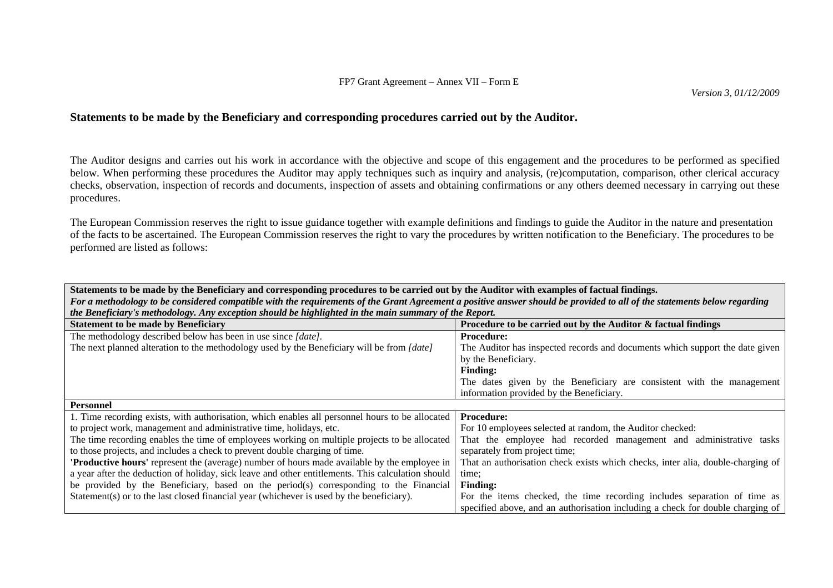# **Statements to be made by the Beneficiary and corresponding procedures carried out by the Auditor.**

The Auditor designs and carries out his work in accordance with the objective and scope of this engagement and the procedures to be performed as specified below. When performing these procedures the Auditor may apply techniques such as inquiry and analysis, (re)computation, comparison, other clerical accuracy checks, observation, inspection of records and documents, inspection of assets and obtaining confirmations or any others deemed necessary in carrying out these procedures.

The European Commission reserves the right to issue guidance together with example definitions and findings to guide the Auditor in the nature and presentation of the facts to be ascertained. The European Commission reserves the right to vary the procedures by written notification to the Beneficiary. The procedures to be performed are listed as follows:

| Statements to be made by the Beneficiary and corresponding procedures to be carried out by the Auditor with examples of factual findings.                                |                                                                                 |  |
|--------------------------------------------------------------------------------------------------------------------------------------------------------------------------|---------------------------------------------------------------------------------|--|
| For a methodology to be considered compatible with the requirements of the Grant Agreement a positive answer should be provided to all of the statements below regarding |                                                                                 |  |
| the Beneficiary's methodology. Any exception should be highlighted in the main summary of the Report.                                                                    |                                                                                 |  |
| <b>Statement to be made by Beneficiary</b>                                                                                                                               | Procedure to be carried out by the Auditor & factual findings                   |  |
| The methodology described below has been in use since [date].                                                                                                            | <b>Procedure:</b>                                                               |  |
| The next planned alteration to the methodology used by the Beneficiary will be from [date]                                                                               | The Auditor has inspected records and documents which support the date given    |  |
|                                                                                                                                                                          | by the Beneficiary.                                                             |  |
|                                                                                                                                                                          | <b>Finding:</b>                                                                 |  |
|                                                                                                                                                                          | The dates given by the Beneficiary are consistent with the management           |  |
|                                                                                                                                                                          | information provided by the Beneficiary.                                        |  |
|                                                                                                                                                                          |                                                                                 |  |
| <b>Personnel</b>                                                                                                                                                         |                                                                                 |  |
| 1. Time recording exists, with authorisation, which enables all personnel hours to be allocated                                                                          | <b>Procedure:</b>                                                               |  |
| to project work, management and administrative time, holidays, etc.                                                                                                      | For 10 employees selected at random, the Auditor checked:                       |  |
| The time recording enables the time of employees working on multiple projects to be allocated                                                                            | That the employee had recorded management and administrative tasks              |  |
| to those projects, and includes a check to prevent double charging of time.                                                                                              | separately from project time;                                                   |  |
| <b>Productive hours'</b> represent the (average) number of hours made available by the employee in                                                                       | That an authorisation check exists which checks, inter alia, double-charging of |  |
| a year after the deduction of holiday, sick leave and other entitlements. This calculation should                                                                        | time;                                                                           |  |
| be provided by the Beneficiary, based on the period(s) corresponding to the Financial                                                                                    | <b>Finding:</b>                                                                 |  |
| Statement(s) or to the last closed financial year (whichever is used by the beneficiary).                                                                                | For the items checked, the time recording includes separation of time as        |  |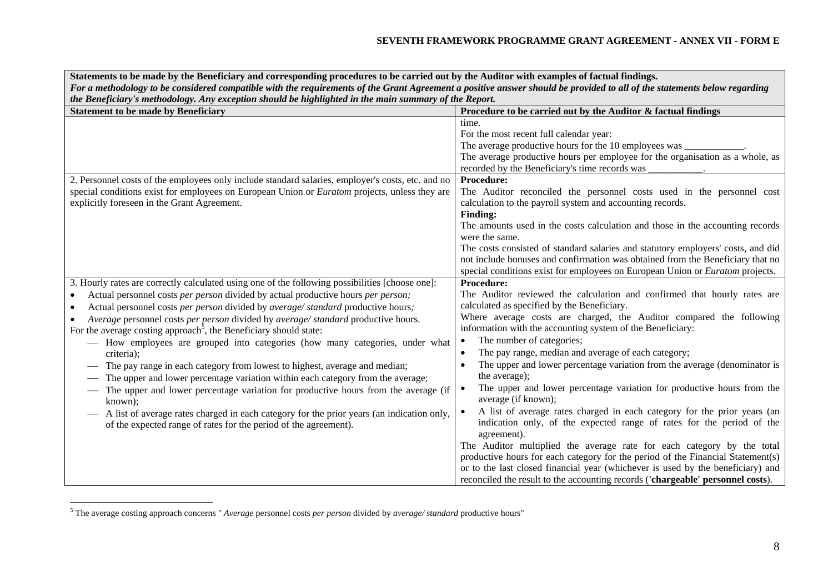| Statements to be made by the Beneficiary and corresponding procedures to be carried out by the Auditor with examples of factual findings.                                |                                                                                                                                          |  |
|--------------------------------------------------------------------------------------------------------------------------------------------------------------------------|------------------------------------------------------------------------------------------------------------------------------------------|--|
| For a methodology to be considered compatible with the requirements of the Grant Agreement a positive answer should be provided to all of the statements below regarding |                                                                                                                                          |  |
| the Beneficiary's methodology. Any exception should be highlighted in the main summary of the Report.                                                                    |                                                                                                                                          |  |
| <b>Statement to be made by Beneficiary</b>                                                                                                                               | Procedure to be carried out by the Auditor & factual findings                                                                            |  |
|                                                                                                                                                                          | time.                                                                                                                                    |  |
|                                                                                                                                                                          | For the most recent full calendar year:                                                                                                  |  |
|                                                                                                                                                                          | The average productive hours for the 10 employees was _<br>The average productive hours per employee for the organisation as a whole, as |  |
|                                                                                                                                                                          | recorded by the Beneficiary's time records was                                                                                           |  |
| 2. Personnel costs of the employees only include standard salaries, employer's costs, etc. and no                                                                        | <b>Procedure:</b>                                                                                                                        |  |
| special conditions exist for employees on European Union or <i>Euratom</i> projects, unless they are                                                                     | The Auditor reconciled the personnel costs used in the personnel cost                                                                    |  |
| explicitly foreseen in the Grant Agreement.                                                                                                                              | calculation to the payroll system and accounting records.                                                                                |  |
|                                                                                                                                                                          | <b>Finding:</b>                                                                                                                          |  |
|                                                                                                                                                                          | The amounts used in the costs calculation and those in the accounting records                                                            |  |
|                                                                                                                                                                          | were the same.                                                                                                                           |  |
|                                                                                                                                                                          | The costs consisted of standard salaries and statutory employers' costs, and did                                                         |  |
|                                                                                                                                                                          | not include bonuses and confirmation was obtained from the Beneficiary that no                                                           |  |
|                                                                                                                                                                          | special conditions exist for employees on European Union or Euratom projects.                                                            |  |
| 3. Hourly rates are correctly calculated using one of the following possibilities [choose one]:                                                                          | Procedure:                                                                                                                               |  |
| Actual personnel costs per person divided by actual productive hours per person;                                                                                         | The Auditor reviewed the calculation and confirmed that hourly rates are                                                                 |  |
| Actual personnel costs per person divided by average/standard productive hours;<br>$\bullet$                                                                             | calculated as specified by the Beneficiary.                                                                                              |  |
| Average personnel costs per person divided by average/standard productive hours.                                                                                         | Where average costs are charged, the Auditor compared the following                                                                      |  |
| For the average costing approach <sup>5</sup> , the Beneficiary should state:                                                                                            | information with the accounting system of the Beneficiary:                                                                               |  |
| - How employees are grouped into categories (how many categories, under what                                                                                             | The number of categories;                                                                                                                |  |
| criteria);                                                                                                                                                               | The pay range, median and average of each category;                                                                                      |  |
| The pay range in each category from lowest to highest, average and median;                                                                                               | The upper and lower percentage variation from the average (denominator is                                                                |  |
| The upper and lower percentage variation within each category from the average;                                                                                          | the average);                                                                                                                            |  |
| The upper and lower percentage variation for productive hours from the average (if                                                                                       | The upper and lower percentage variation for productive hours from the                                                                   |  |
| known);                                                                                                                                                                  | average (if known);                                                                                                                      |  |
| - A list of average rates charged in each category for the prior years (an indication only,                                                                              | A list of average rates charged in each category for the prior years (an                                                                 |  |
| of the expected range of rates for the period of the agreement).                                                                                                         | indication only, of the expected range of rates for the period of the                                                                    |  |
|                                                                                                                                                                          | agreement).                                                                                                                              |  |
|                                                                                                                                                                          | The Auditor multiplied the average rate for each category by the total                                                                   |  |
|                                                                                                                                                                          | productive hours for each category for the period of the Financial Statement(s)                                                          |  |
|                                                                                                                                                                          | or to the last closed financial year (whichever is used by the beneficiary) and                                                          |  |
|                                                                                                                                                                          | reconciled the result to the accounting records ('chargeable' personnel costs).                                                          |  |

<sup>5</sup> The average costing approach concerns " *Average* personnel costs *per person* divided by *average/ standard* productive hours"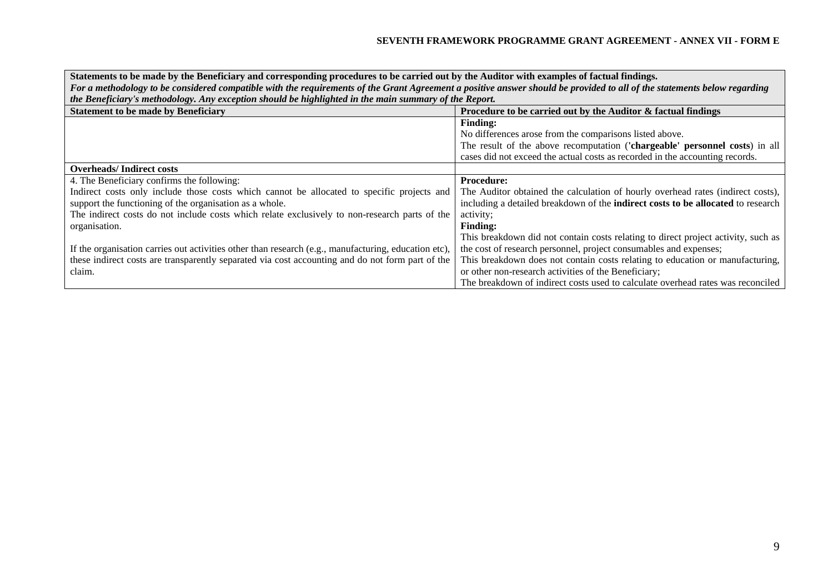| Statements to be made by the Beneficiary and corresponding procedures to be carried out by the Auditor with examples of factual findings.                                |                                                                                         |  |
|--------------------------------------------------------------------------------------------------------------------------------------------------------------------------|-----------------------------------------------------------------------------------------|--|
| For a methodology to be considered compatible with the requirements of the Grant Agreement a positive answer should be provided to all of the statements below regarding |                                                                                         |  |
| the Beneficiary's methodology. Any exception should be highlighted in the main summary of the Report.                                                                    |                                                                                         |  |
| <b>Statement to be made by Beneficiary</b>                                                                                                                               | Procedure to be carried out by the Auditor & factual findings                           |  |
|                                                                                                                                                                          | <b>Finding:</b>                                                                         |  |
|                                                                                                                                                                          | No differences arose from the comparisons listed above.                                 |  |
|                                                                                                                                                                          | The result of the above recomputation ('chargeable' personnel costs) in all             |  |
|                                                                                                                                                                          | cases did not exceed the actual costs as recorded in the accounting records.            |  |
| <b>Overheads/Indirect costs</b>                                                                                                                                          |                                                                                         |  |
| 4. The Beneficiary confirms the following:                                                                                                                               | <b>Procedure:</b>                                                                       |  |
| Indirect costs only include those costs which cannot be allocated to specific projects and                                                                               | The Auditor obtained the calculation of hourly overhead rates (indirect costs),         |  |
| support the functioning of the organisation as a whole.                                                                                                                  | including a detailed breakdown of the <b>indirect costs to be allocated</b> to research |  |
| The indirect costs do not include costs which relate exclusively to non-research parts of the                                                                            | activity;                                                                               |  |
| organisation.                                                                                                                                                            | <b>Finding:</b>                                                                         |  |
|                                                                                                                                                                          | This breakdown did not contain costs relating to direct project activity, such as       |  |
| If the organisation carries out activities other than research (e.g., manufacturing, education etc),                                                                     | the cost of research personnel, project consumables and expenses;                       |  |
| these indirect costs are transparently separated via cost accounting and do not form part of the                                                                         | This breakdown does not contain costs relating to education or manufacturing,           |  |
| claim.                                                                                                                                                                   | or other non-research activities of the Beneficiary;                                    |  |
|                                                                                                                                                                          | The breakdown of indirect costs used to calculate overhead rates was reconciled         |  |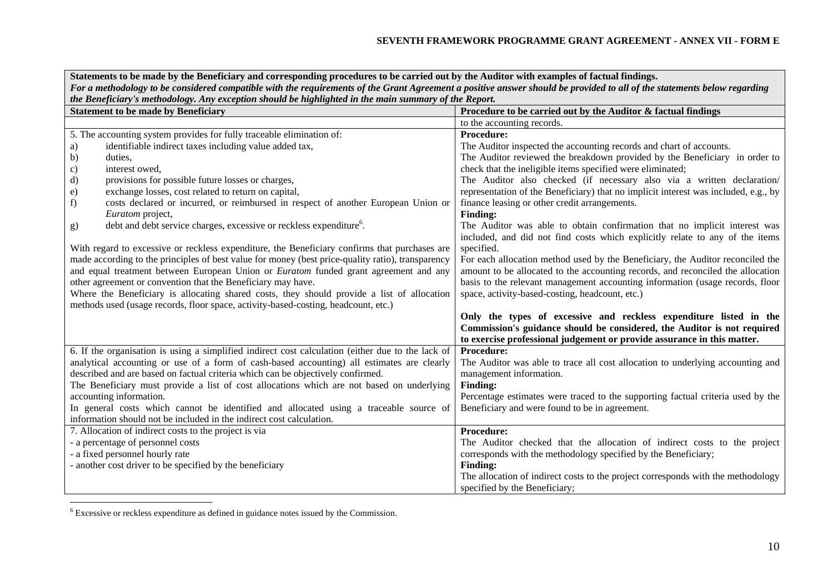| Statements to be made by the Beneficiary and corresponding procedures to be carried out by the Auditor with examples of factual findings.<br>For a methodology to be considered compatible with the requirements of the Grant Agreement a positive answer should be provided to all of the statements below regarding<br>the Beneficiary's methodology. Any exception should be highlighted in the main summary of the Report. |                                                                                                                                                           |  |
|--------------------------------------------------------------------------------------------------------------------------------------------------------------------------------------------------------------------------------------------------------------------------------------------------------------------------------------------------------------------------------------------------------------------------------|-----------------------------------------------------------------------------------------------------------------------------------------------------------|--|
| <b>Statement to be made by Beneficiary</b>                                                                                                                                                                                                                                                                                                                                                                                     | Procedure to be carried out by the Auditor & factual findings                                                                                             |  |
|                                                                                                                                                                                                                                                                                                                                                                                                                                | to the accounting records.                                                                                                                                |  |
| 5. The accounting system provides for fully traceable elimination of:                                                                                                                                                                                                                                                                                                                                                          | <b>Procedure:</b>                                                                                                                                         |  |
| identifiable indirect taxes including value added tax,<br>a)                                                                                                                                                                                                                                                                                                                                                                   | The Auditor inspected the accounting records and chart of accounts.                                                                                       |  |
| b)<br>duties,                                                                                                                                                                                                                                                                                                                                                                                                                  | The Auditor reviewed the breakdown provided by the Beneficiary in order to                                                                                |  |
| interest owed,<br>$\mathbf{c})$                                                                                                                                                                                                                                                                                                                                                                                                | check that the ineligible items specified were eliminated;                                                                                                |  |
| d)<br>provisions for possible future losses or charges,                                                                                                                                                                                                                                                                                                                                                                        | The Auditor also checked (if necessary also via a written declaration/                                                                                    |  |
| exchange losses, cost related to return on capital,<br>$\epsilon$ )                                                                                                                                                                                                                                                                                                                                                            | representation of the Beneficiary) that no implicit interest was included, e.g., by                                                                       |  |
| costs declared or incurred, or reimbursed in respect of another European Union or<br>f)                                                                                                                                                                                                                                                                                                                                        | finance leasing or other credit arrangements.                                                                                                             |  |
| Euratom project,                                                                                                                                                                                                                                                                                                                                                                                                               | <b>Finding:</b>                                                                                                                                           |  |
| debt and debt service charges, excessive or reckless expenditure <sup>6</sup> .<br>g)                                                                                                                                                                                                                                                                                                                                          | The Auditor was able to obtain confirmation that no implicit interest was<br>included, and did not find costs which explicitly relate to any of the items |  |
| With regard to excessive or reckless expenditure, the Beneficiary confirms that purchases are                                                                                                                                                                                                                                                                                                                                  | specified.                                                                                                                                                |  |
| made according to the principles of best value for money (best price-quality ratio), transparency                                                                                                                                                                                                                                                                                                                              | For each allocation method used by the Beneficiary, the Auditor reconciled the                                                                            |  |
| and equal treatment between European Union or <i>Euratom</i> funded grant agreement and any                                                                                                                                                                                                                                                                                                                                    | amount to be allocated to the accounting records, and reconciled the allocation                                                                           |  |
| other agreement or convention that the Beneficiary may have.                                                                                                                                                                                                                                                                                                                                                                   | basis to the relevant management accounting information (usage records, floor                                                                             |  |
| Where the Beneficiary is allocating shared costs, they should provide a list of allocation                                                                                                                                                                                                                                                                                                                                     | space, activity-based-costing, headcount, etc.)                                                                                                           |  |
| methods used (usage records, floor space, activity-based-costing, headcount, etc.)                                                                                                                                                                                                                                                                                                                                             |                                                                                                                                                           |  |
|                                                                                                                                                                                                                                                                                                                                                                                                                                | Only the types of excessive and reckless expenditure listed in the                                                                                        |  |
|                                                                                                                                                                                                                                                                                                                                                                                                                                | Commission's guidance should be considered, the Auditor is not required                                                                                   |  |
|                                                                                                                                                                                                                                                                                                                                                                                                                                | to exercise professional judgement or provide assurance in this matter.                                                                                   |  |
| 6. If the organisation is using a simplified indirect cost calculation (either due to the lack of                                                                                                                                                                                                                                                                                                                              | Procedure:                                                                                                                                                |  |
| analytical accounting or use of a form of cash-based accounting) all estimates are clearly                                                                                                                                                                                                                                                                                                                                     | The Auditor was able to trace all cost allocation to underlying accounting and                                                                            |  |
| described and are based on factual criteria which can be objectively confirmed.                                                                                                                                                                                                                                                                                                                                                | management information.                                                                                                                                   |  |
| The Beneficiary must provide a list of cost allocations which are not based on underlying                                                                                                                                                                                                                                                                                                                                      | <b>Finding:</b>                                                                                                                                           |  |
| accounting information.                                                                                                                                                                                                                                                                                                                                                                                                        | Percentage estimates were traced to the supporting factual criteria used by the                                                                           |  |
| In general costs which cannot be identified and allocated using a traceable source of<br>information should not be included in the indirect cost calculation.                                                                                                                                                                                                                                                                  | Beneficiary and were found to be in agreement.                                                                                                            |  |
| 7. Allocation of indirect costs to the project is via                                                                                                                                                                                                                                                                                                                                                                          |                                                                                                                                                           |  |
| - a percentage of personnel costs                                                                                                                                                                                                                                                                                                                                                                                              | Procedure:<br>The Auditor checked that the allocation of indirect costs to the project                                                                    |  |
| - a fixed personnel hourly rate                                                                                                                                                                                                                                                                                                                                                                                                | corresponds with the methodology specified by the Beneficiary;                                                                                            |  |
| - another cost driver to be specified by the beneficiary                                                                                                                                                                                                                                                                                                                                                                       | <b>Finding:</b>                                                                                                                                           |  |
|                                                                                                                                                                                                                                                                                                                                                                                                                                | The allocation of indirect costs to the project corresponds with the methodology                                                                          |  |
|                                                                                                                                                                                                                                                                                                                                                                                                                                | specified by the Beneficiary;                                                                                                                             |  |

<sup>6</sup> Excessive or reckless expenditure as defined in guidance notes issued by the Commission.